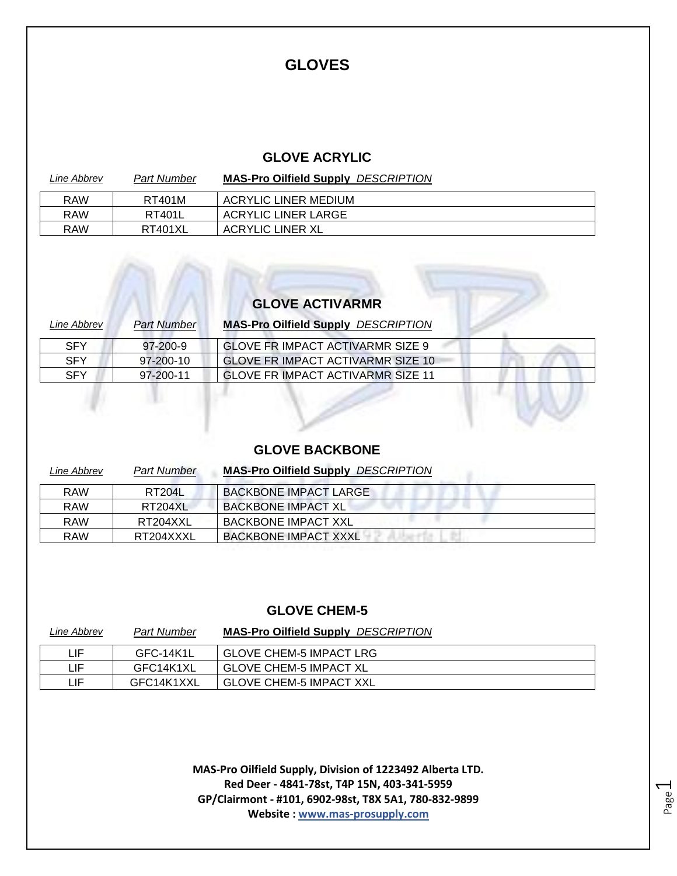#### **GLOVES**

#### **GLOVE ACRYLIC**

| Line Abbrev | Part Number    | <b>MAS-Pro Oilfield Supply DESCRIPTION</b> |
|-------------|----------------|--------------------------------------------|
| <b>RAW</b>  | RT401M         | ACRYLIC LINER MEDIUM                       |
| RAW         | <b>RT401L</b>  | <b>ACRYLIC LINER LARGE</b>                 |
| RAW         | <b>RT401XL</b> | ACRYLIC LINER XL                           |

#### **GLOVE ACTIVARMR**

| <b>Part Number</b> | <b>MAS-Pro Oilfield Supply DESCRIPTION</b> |  |
|--------------------|--------------------------------------------|--|
| 97-200-9           | GLOVE FR IMPACT ACTIVARMR SIZE 9           |  |
| 97-200-10          | GLOVE FR IMPACT ACTIVARMR SIZE 10          |  |
| 97-200-11          | <b>GLOVE FRIMPACT ACTIVARMR SIZE 11</b>    |  |
|                    |                                            |  |
|                    |                                            |  |

#### **GLOVE BACKBONE**

| Line Abbrev | <b>Part Number</b> | <b>MAS-Pro Oilfield Supply DESCRIPTION</b> |  |
|-------------|--------------------|--------------------------------------------|--|
| <b>RAW</b>  | RT204L             | BACKBONE IMPACT LARGE                      |  |
| <b>RAW</b>  | RT204XL            | BACKBONE IMPACT XL                         |  |
| <b>RAW</b>  | RT204XXL           | BACKBONE IMPACT XXL                        |  |
| <b>RAW</b>  | RT204XXXL          | <b>BACKBONE IMPACT XXXL</b>                |  |

#### **GLOVE CHEM-5**

| Line Abbrev | <b>Part Number</b> | <b>MAS-Pro Oilfield Supply DESCRIPTION</b> |
|-------------|--------------------|--------------------------------------------|
| LIF.        | GFC-14K1L          | <b>GLOVE CHEM-5 IMPACT LRG</b>             |
| LIF.        | GFC14K1XL          | <b>GLOVE CHEM-5 IMPACT XL</b>              |
| LIF.        | GFC14K1XXL         | <b>GLOVE CHEM-5 IMPACT XXL</b>             |

**MAS-Pro Oilfield Supply, Division of 1223492 Alberta LTD. Red Deer - 4841-78st, T4P 15N, 403-341-5959 GP/Clairmont - #101, 6902-98st, T8X 5A1, 780-832-9899 Website : www.mas-prosupply.com**

Page  $\overline{\phantom{0}}$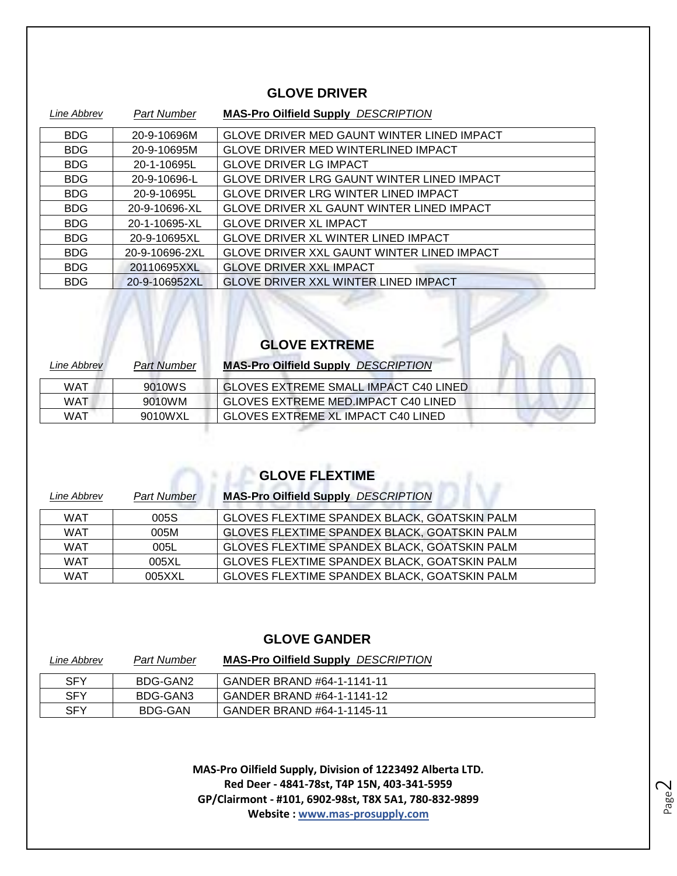#### **GLOVE DRIVER**

| Line Abbrev | Part Number    | <b>MAS-Pro Oilfield Supply DESCRIPTION</b>        |
|-------------|----------------|---------------------------------------------------|
| <b>BDG</b>  | 20-9-10696M    | GLOVE DRIVER MED GAUNT WINTER LINED IMPACT        |
| <b>BDG</b>  | 20-9-10695M    | <b>GLOVE DRIVER MED WINTERLINED IMPACT</b>        |
| <b>BDG</b>  | 20-1-10695L    | <b>GLOVE DRIVER LG IMPACT</b>                     |
| <b>BDG</b>  | 20-9-10696-L   | <b>GLOVE DRIVER LRG GAUNT WINTER LINED IMPACT</b> |
| <b>BDG</b>  | 20-9-10695L    | <b>GLOVE DRIVER LRG WINTER LINED IMPACT</b>       |
| <b>BDG</b>  | 20-9-10696-XL  | <b>GLOVE DRIVER XL GAUNT WINTER LINED IMPACT</b>  |
| <b>BDG</b>  | 20-1-10695-XL  | <b>GLOVE DRIVER XL IMPACT</b>                     |
| <b>BDG</b>  | 20-9-10695XL   | <b>GLOVE DRIVER XL WINTER LINED IMPACT</b>        |
| <b>BDG</b>  | 20-9-10696-2XL | GLOVE DRIVER XXL GAUNT WINTER LINED IMPACT        |
| <b>BDG</b>  | 20110695XXL    | <b>GLOVE DRIVER XXL IMPACT</b>                    |
| <b>BDG</b>  | 20-9-106952XL  | <b>GLOVE DRIVER XXL WINTER LINED IMPACT</b>       |

### **GLOVE EXTREME**

| Line Abbrev | <b>Part Number</b> | <b>MAS-Pro Oilfield Supply DESCRIPTION</b>   |
|-------------|--------------------|----------------------------------------------|
| WAT         | 9010WS             | <b>GLOVES EXTREME SMALL IMPACT C40 LINED</b> |
| WAT         | 9010WM             | GLOVES EXTREME MED. IMPACT C40 LINED         |
| WAT         | 9010WXL            | GLOVES EXTREME XL IMPACT C40 LINED           |
|             |                    |                                              |

### **GLOVE FLEXTIME**

| Line Abbrev | <b>Part Number</b> | <b>MAS-Pro Oilfield Supply DESCRIPTION</b>          |
|-------------|--------------------|-----------------------------------------------------|
| WAT         | 005S               | GLOVES FLEXTIME SPANDEX BLACK, GOATSKIN PALM        |
| <b>WAT</b>  | 005M               | GLOVES FLEXTIME SPANDEX BLACK, GOATSKIN PALM        |
| WAT         | 005L               | GLOVES FLEXTIME SPANDEX BLACK, GOATSKIN PALM        |
| WAT         | 005XL              | GLOVES FLEXTIME SPANDEX BLACK, GOATSKIN PALM        |
| WAT         | 005XXL             | <b>GLOVES FLEXTIME SPANDEX BLACK, GOATSKIN PALM</b> |

#### **GLOVE GANDER**

| Line Abbrev | <b>Part Number</b> | <b>MAS-Pro Oilfield Supply DESCRIPTION</b> |
|-------------|--------------------|--------------------------------------------|
| <b>SFY</b>  | BDG-GAN2           | GANDER BRAND #64-1-1141-11                 |
| SFY         | BDG-GAN3           | GANDER BRAND #64-1-1141-12                 |
| SFY         | BDG-GAN            | GANDER BRAND #64-1-1145-11                 |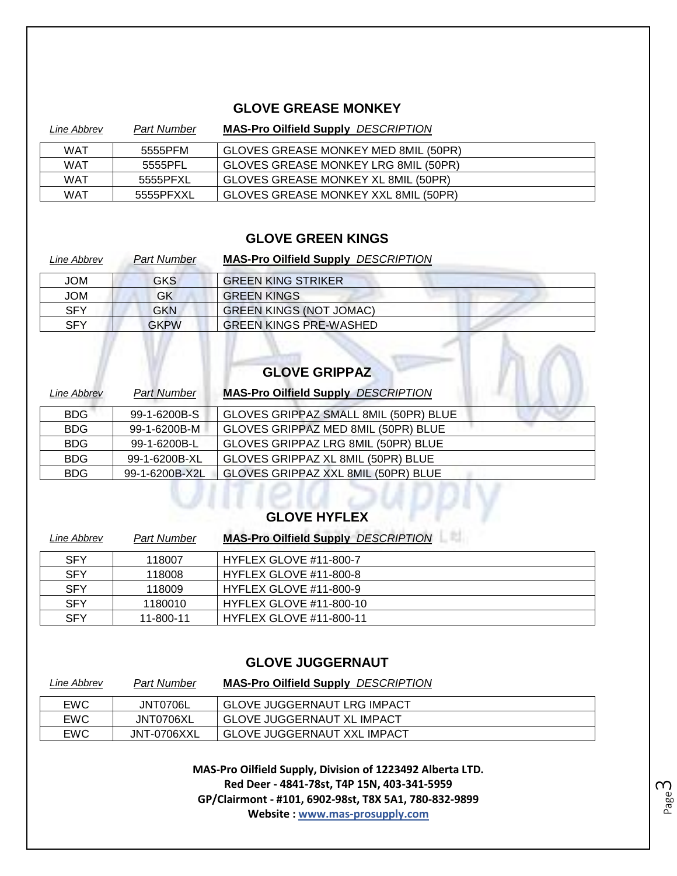#### **GLOVE GREASE MONKEY**

| Line Abbrev | <b>Part Number</b> | <b>MAS-Pro Oilfield Supply DESCRIPTION</b> |
|-------------|--------------------|--------------------------------------------|
| <b>WAT</b>  | 5555PFM            | GLOVES GREASE MONKEY MED 8MIL (50PR)       |
| <b>WAT</b>  | 5555PFL            | GLOVES GREASE MONKEY LRG 8MIL (50PR)       |
| <b>WAT</b>  | 5555PFXL           | GLOVES GREASE MONKEY XL 8MIL (50PR)        |
| WAT         | 5555PFXXL          | GLOVES GREASE MONKEY XXL 8MIL (50PR)       |

#### **GLOVE GREEN KINGS**

| Line Abbrev | <b>Part Number</b> | <b>MAS-Pro Oilfield Supply DESCRIPTION</b> |  |
|-------------|--------------------|--------------------------------------------|--|
| <b>JOM</b>  | <b>GKS</b>         | <b>GREEN KING STRIKER</b>                  |  |
| <b>JOM</b>  | GK                 | <b>GREEN KINGS</b>                         |  |
| <b>SFY</b>  | <b>GKN</b>         | <b>GREEN KINGS (NOT JOMAC)</b>             |  |
| <b>SFY</b>  | <b>GKPW</b>        | <b>GREEN KINGS PRE-WASHED</b>              |  |
|             |                    | <b>GLOVE GRIPPAZ</b>                       |  |

## **GLOVE GRIPPAZ**

| Line Abbrev | <b>Part Number</b> | <b>MAS-Pro Oilfield Supply DESCRIPTION</b> |
|-------------|--------------------|--------------------------------------------|
| <b>BDG</b>  | 99-1-6200B-S       | GLOVES GRIPPAZ SMALL 8MIL (50PR) BLUE      |
| <b>BDG</b>  | 99-1-6200B-M       | GLOVES GRIPPAZ MED 8MIL (50PR) BLUE        |
| <b>BDG</b>  | 99-1-6200B-L       | GLOVES GRIPPAZ LRG 8MIL (50PR) BLUE        |
| <b>BDG</b>  | 99-1-6200B-XL      | GLOVES GRIPPAZ XL 8MIL (50PR) BLUE         |
| <b>BDG</b>  | 99-1-6200B-X2L     | GLOVES GRIPPAZ XXL 8MIL (50PR) BLUE        |

## **GLOVE HYFLEX**

| Line Abbrev | <b>Part Number</b> | <b>MAS-Pro Oilfield Supply DESCRIPTION</b> |
|-------------|--------------------|--------------------------------------------|
| <b>SFY</b>  | 118007             | <b>HYFLEX GLOVE #11-800-7</b>              |
| <b>SFY</b>  | 118008             | HYFLEX GLOVE #11-800-8                     |
| <b>SFY</b>  | 118009             | HYFLEX GLOVE #11-800-9                     |
| <b>SFY</b>  | 1180010            | <b>HYFLEX GLOVE #11-800-10</b>             |
| <b>SFY</b>  | 11-800-11          | <b>HYFLEX GLOVE #11-800-11</b>             |

#### **GLOVE JUGGERNAUT**

| Line Abbrev | <b>Part Number</b> | <b>MAS-Pro Oilfield Supply DESCRIPTION</b> |
|-------------|--------------------|--------------------------------------------|
| <b>EWC</b>  | JNT0706L           | GLOVE JUGGERNAUT LRG IMPACT                |
| <b>EWC</b>  | JNT0706XL          | <b>GLOVE JUGGERNAUT XL IMPACT</b>          |
| <b>EWC</b>  | JNT-0706XXL        | GLOVE JUGGERNAUT XXL IMPACT                |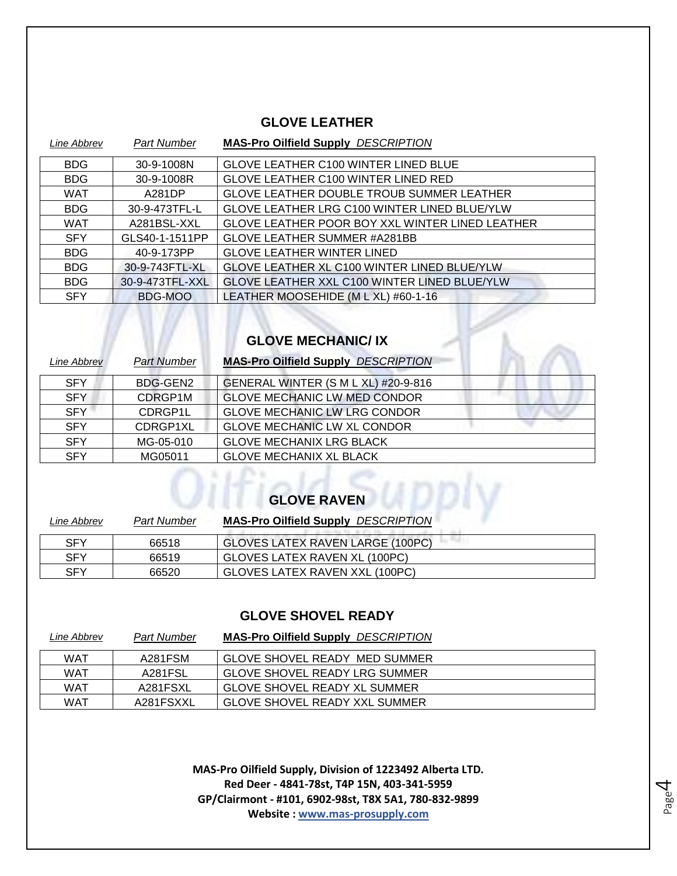#### **GLOVE LEATHER**

| Line Abbrev | <b>Part Number</b> | <b>MAS-Pro Oilfield Supply DESCRIPTION</b>       |
|-------------|--------------------|--------------------------------------------------|
| <b>BDG</b>  | 30-9-1008N         | <b>GLOVE LEATHER C100 WINTER LINED BLUE</b>      |
| <b>BDG</b>  | 30-9-1008R         | <b>GLOVE LEATHER C100 WINTER LINED RED</b>       |
| <b>WAT</b>  | A281DP             | <b>GLOVE LEATHER DOUBLE TROUB SUMMER LEATHER</b> |
| <b>BDG</b>  | 30-9-473TFL-L      | GLOVE LEATHER LRG C100 WINTER LINED BLUE/YLW     |
| <b>WAT</b>  | A281BSL-XXL        | GLOVE LEATHER POOR BOY XXL WINTER LINED LEATHER  |
| <b>SFY</b>  | GLS40-1-1511PP     | <b>GLOVE LEATHER SUMMER #A281BB</b>              |
| <b>BDG</b>  | 40-9-173PP         | <b>GLOVE LEATHER WINTER LINED</b>                |
| <b>BDG</b>  | 30-9-743FTL-XL     | GLOVE LEATHER XL C100 WINTER LINED BLUE/YLW      |
| <b>BDG</b>  | 30-9-473TFL-XXL    | GLOVE LEATHER XXL C100 WINTER LINED BLUE/YLW     |
| <b>SFY</b>  | BDG-MOO            | LEATHER MOOSEHIDE (M L XL) #60-1-16              |

## **GLOVE MECHANIC/ IX**

| Line Abbrev | <b>Part Number</b> | <b>MAS-Pro Oilfield Supply DESCRIPTION</b> |
|-------------|--------------------|--------------------------------------------|
| <b>SFY</b>  | BDG-GEN2           | GENERAL WINTER (S M L XL) #20-9-816        |
| <b>SFY</b>  | CDRGP1M            | <b>GLOVE MECHANIC LW MED CONDOR</b>        |
| <b>SFY</b>  | CDRGP1L            | <b>GLOVE MECHANIC LW LRG CONDOR</b>        |
| <b>SFY</b>  | CDRGP1XL           | <b>GLOVE MECHANIC LW XL CONDOR</b>         |
| <b>SFY</b>  | MG-05-010          | <b>GLOVE MECHANIX LRG BLACK</b>            |
| <b>SFY</b>  | MG05011            | <b>GLOVE MECHANIX XL BLACK</b>             |

# **GLOVE RAVEN**

| Line Abbrev | <b>Part Number</b> | <b>MAS-Pro Oilfield Supply DESCRIPTION</b> |  |
|-------------|--------------------|--------------------------------------------|--|
| <b>SFY</b>  | 66518              | GLOVES LATEX RAVEN LARGE (100PC)           |  |
| <b>SFY</b>  | 66519              | GLOVES LATEX RAVEN XL (100PC)              |  |
| <b>SFY</b>  | 66520              | GLOVES LATEX RAVEN XXL (100PC)             |  |

#### **GLOVE SHOVEL READY**

| Line Abbrev | <b>Part Number</b> | <b>MAS-Pro Oilfield Supply DESCRIPTION</b> |
|-------------|--------------------|--------------------------------------------|
| WAT         | A281FSM            | GLOVE SHOVEL READY MED SUMMER              |
| WAT         | A281FSL            | GLOVE SHOVEL READY LRG SUMMER              |
| WAT         | A281FSXL           | <b>GLOVE SHOVEL READY XL SUMMER</b>        |
| WAT         | A281FSXXL          | GLOVE SHOVEL READY XXL SUMMER              |

**MAS-Pro Oilfield Supply, Division of 1223492 Alberta LTD. Red Deer - 4841-78st, T4P 15N, 403-341-5959 GP/Clairmont - #101, 6902-98st, T8X 5A1, 780-832-9899 Website : www.mas-prosupply.com**

Page 4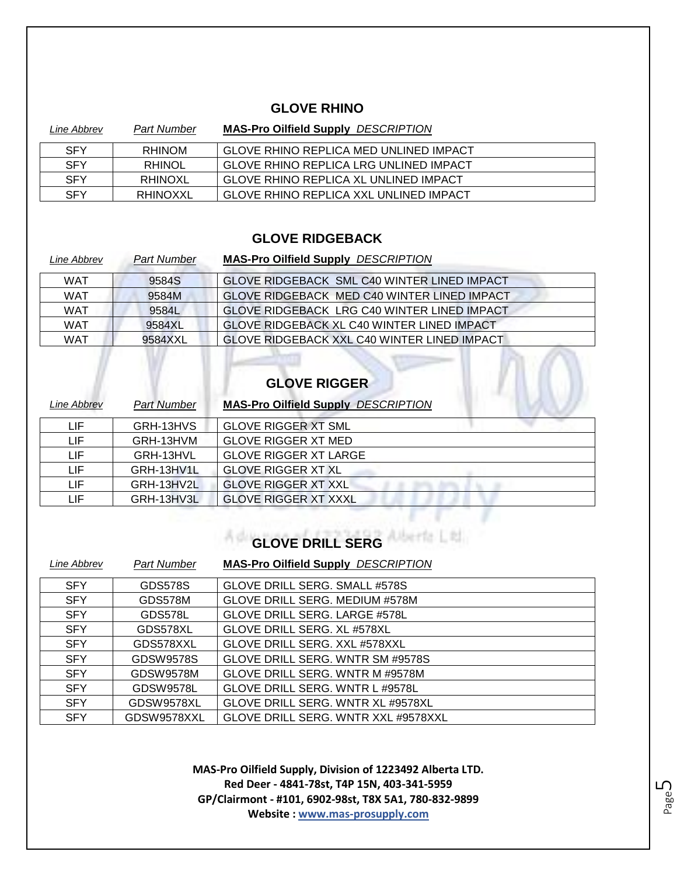#### **GLOVE RHINO**

| Line Abbrev | <b>Part Number</b> | <b>MAS-Pro Oilfield Supply DESCRIPTION</b>    |
|-------------|--------------------|-----------------------------------------------|
| <b>SFY</b>  | <b>RHINOM</b>      | GLOVE RHINO REPLICA MED UNLINED IMPACT        |
| <b>SFY</b>  | <b>RHINOL</b>      | GLOVE RHINO REPLICA LRG UNLINED IMPACT        |
| <b>SFY</b>  | RHINOXL            | GLOVE RHINO REPLICA XL UNLINED IMPACT         |
| <b>SFY</b>  | RHINOXXL           | <b>GLOVE RHINO REPLICA XXL UNLINED IMPACT</b> |

#### **GLOVE RIDGEBACK**

| Line Abbrev | <b>Part Number</b> | <b>MAS-Pro Oilfield Supply DESCRIPTION</b>         |
|-------------|--------------------|----------------------------------------------------|
| WAT         | 9584S              | GLOVE RIDGEBACK SML C40 WINTER LINED IMPACT        |
| <b>WAT</b>  | 9584M              | GLOVE RIDGEBACK MED C40 WINTER LINED IMPACT        |
| <b>WAT</b>  | 9584L              | GLOVE RIDGEBACK LRG C40 WINTER LINED IMPACT        |
| WAT         | 9584XL             | <b>GLOVE RIDGEBACK XL C40 WINTER LINED IMPACT</b>  |
| <b>WAT</b>  | 9584XXL            | <b>GLOVE RIDGEBACK XXL C40 WINTER LINED IMPACT</b> |

## **GLOVE RIGGER**

| Line Abbrev | <b>Part Number</b> | <b>MAS-Pro Oilfield Supply DESCRIPTION</b> |  |
|-------------|--------------------|--------------------------------------------|--|
| LIF         | GRH-13HVS          | <b>GLOVE RIGGER XT SML</b>                 |  |
| LIF         | GRH-13HVM          | <b>GLOVE RIGGER XT MED</b>                 |  |
| LIF         | GRH-13HVL          | <b>GLOVE RIGGER XT LARGE</b>               |  |
| LIF         | GRH-13HV1L         | <b>GLOVE RIGGER XT XL</b>                  |  |
| LIF         | GRH-13HV2L         | <b>GLOVE RIGGER XT XXL</b>                 |  |
| LIF         | GRH-13HV3L         | <b>GLOVE RIGGER XT XXXL</b>                |  |

#### **GLOVE DRILL SERG**

| Line Abbrev | <b>Part Number</b> | <b>MAS-Pro Oilfield Supply DESCRIPTION</b> |
|-------------|--------------------|--------------------------------------------|
| <b>SFY</b>  | <b>GDS578S</b>     | GLOVE DRILL SERG. SMALL #578S              |
| <b>SFY</b>  | GDS578M            | <b>GLOVE DRILL SERG. MEDIUM #578M</b>      |
| <b>SFY</b>  | GDS578L            | <b>GLOVE DRILL SERG. LARGE #578L</b>       |
| <b>SFY</b>  | GDS578XL           | GLOVE DRILL SERG. XL #578XL                |
| <b>SFY</b>  | GDS578XXL          | GLOVE DRILL SERG. XXL #578XXL              |
| <b>SFY</b>  | GDSW9578S          | GLOVE DRILL SERG. WNTR SM #9578S           |
| <b>SFY</b>  | GDSW9578M          | GLOVE DRILL SERG. WNTR M #9578M            |
| <b>SFY</b>  | GDSW9578L          | GLOVE DRILL SERG. WNTR L #9578L            |
| <b>SFY</b>  | GDSW9578XL         | GLOVE DRILL SERG. WNTR XL #9578XL          |
| <b>SFY</b>  | GDSW9578XXL        | GLOVE DRILL SERG. WNTR XXL #9578XXL        |

**MAS-Pro Oilfield Supply, Division of 1223492 Alberta LTD. Red Deer - 4841-78st, T4P 15N, 403-341-5959 GP/Clairmont - #101, 6902-98st, T8X 5A1, 780-832-9899 Website : www.mas-prosupply.com**

Page ഥ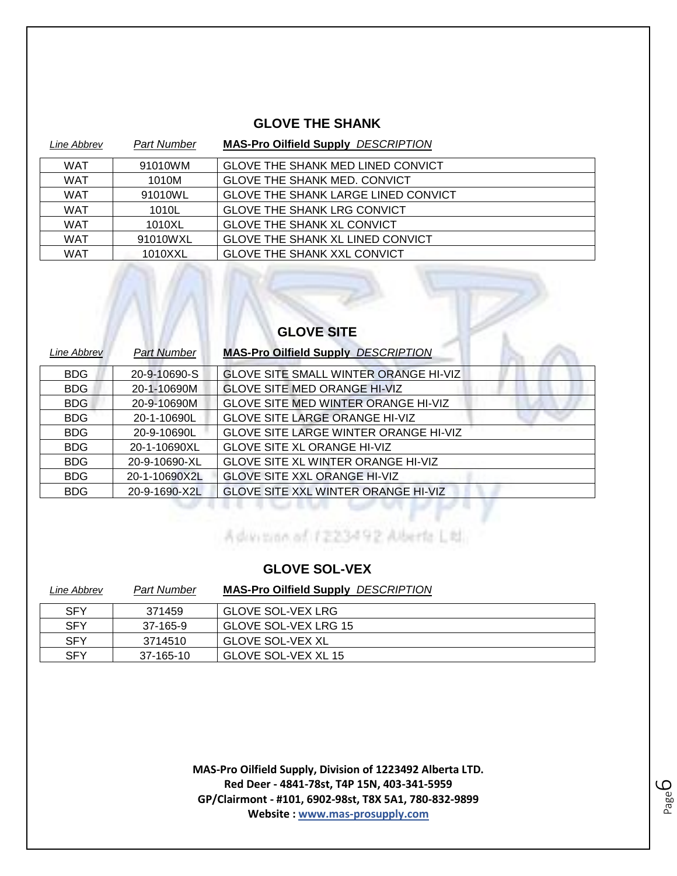#### **GLOVE THE SHANK**

| Line Abbrev | <b>Part Number</b> | <b>MAS-Pro Oilfield Supply DESCRIPTION</b> |
|-------------|--------------------|--------------------------------------------|
| <b>WAT</b>  | 91010WM            | <b>GLOVE THE SHANK MED LINED CONVICT</b>   |
| <b>WAT</b>  | 1010M              | <b>GLOVE THE SHANK MED. CONVICT</b>        |
| <b>WAT</b>  | 91010WL            | <b>GLOVE THE SHANK LARGE LINED CONVICT</b> |
| <b>WAT</b>  | 1010L              | <b>GLOVE THE SHANK LRG CONVICT</b>         |
| <b>WAT</b>  | 1010XL             | <b>GLOVE THE SHANK XL CONVICT</b>          |
| <b>WAT</b>  | 91010WXL           | <b>GLOVE THE SHANK XL LINED CONVICT</b>    |
| <b>WAT</b>  | 1010XXL            | <b>GLOVE THE SHANK XXL CONVICT</b>         |

| <b>GLOVE SITE</b> |                    |                                            |  |  |
|-------------------|--------------------|--------------------------------------------|--|--|
| Line Abbrev       | <b>Part Number</b> | <b>MAS-Pro Oilfield Supply DESCRIPTION</b> |  |  |
| <b>BDG</b>        | 20-9-10690-S       | GLOVE SITE SMALL WINTER ORANGE HI-VIZ      |  |  |
| <b>BDG</b>        | 20-1-10690M        | <b>GLOVE SITE MED ORANGE HI-VIZ</b>        |  |  |
| <b>BDG</b>        | 20-9-10690M        | GLOVE SITE MED WINTER ORANGE HI-VIZ        |  |  |
| <b>BDG</b>        | 20-1-10690L        | <b>GLOVE SITE LARGE ORANGE HI-VIZ</b>      |  |  |
| <b>BDG</b>        | 20-9-10690L        | GLOVE SITE LARGE WINTER ORANGE HI-VIZ      |  |  |
| <b>BDG</b>        | 20-1-10690XL       | <b>GLOVE SITE XL ORANGE HI-VIZ</b>         |  |  |
| <b>BDG</b>        | 20-9-10690-XL      | <b>GLOVE SITE XL WINTER ORANGE HI-VIZ</b>  |  |  |
| <b>BDG</b>        | 20-1-10690X2L      | <b>GLOVE SITE XXL ORANGE HI-VIZ</b>        |  |  |
| <b>BDG</b>        | 20-9-1690-X2L      | GLOVE SITE XXL WINTER ORANGE HI-VIZ        |  |  |

Advention of 1223492 Alberta Ltd.

#### **GLOVE SOL-VEX**

| Line Abbrev | <b>Part Number</b> | <b>MAS-Pro Oilfield Supply DESCRIPTION</b> |
|-------------|--------------------|--------------------------------------------|
| <b>SFY</b>  | 371459             | <b>GLOVE SOL-VEX LRG</b>                   |
| <b>SFY</b>  | 37-165-9           | GLOVE SOL-VEX LRG 15                       |
| <b>SFY</b>  | 3714510            | <b>GLOVE SOL-VEX XL</b>                    |
| <b>SFY</b>  | 37-165-10          | GLOVE SOL-VEX XL 15                        |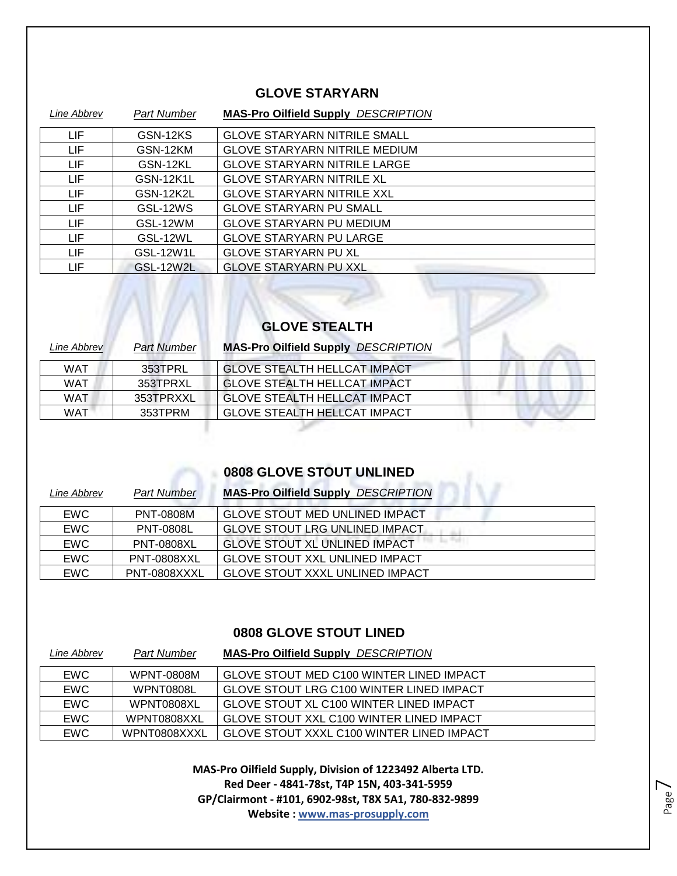#### **GLOVE STARYARN**

| Line Abbrev | <b>Part Number</b> | <b>MAS-Pro Oilfield Supply DESCRIPTION</b> |
|-------------|--------------------|--------------------------------------------|
| <b>LIF</b>  | GSN-12KS           | <b>GLOVE STARYARN NITRILE SMALL</b>        |
| <b>LIF</b>  | GSN-12KM           | <b>GLOVE STARYARN NITRILE MEDIUM</b>       |
| LIF         | GSN-12KL           | <b>GLOVE STARYARN NITRILE LARGE</b>        |
| <b>LIF</b>  | GSN-12K1L          | <b>GLOVE STARYARN NITRILE XL</b>           |
| LIF         | GSN-12K2L          | <b>GLOVE STARYARN NITRILE XXL</b>          |
| LIF.        | GSL-12WS           | <b>GLOVE STARYARN PU SMALL</b>             |
| <b>LIF</b>  | GSL-12WM           | <b>GLOVE STARYARN PU MEDIUM</b>            |
| LIF         | GSL-12WL           | <b>GLOVE STARYARN PU LARGE</b>             |
| LIF.        | GSL-12W1L          | <b>GLOVE STARYARN PU XL</b>                |
| LIF         | <b>GSL-12W2L</b>   | <b>GLOVE STARYARN PU XXL</b>               |

# **GLOVE STEALTH**

| Line Abbrev | Part Number | <b>MAS-Pro Oilfield Supply DESCRIPTION</b> |
|-------------|-------------|--------------------------------------------|
| <b>WAT</b>  | 353TPRL     | <b>GLOVE STEALTH HELLCAT IMPACT</b>        |
| <b>WAT</b>  | 353TPRXL    | <b>GLOVE STEALTH HELLCAT IMPACT</b>        |
| WAT         | 353TPRXXL   | GLOVE STEALTH HELLCAT IMPACT               |
| WAT         | 353TPRM     | <b>GLOVE STEALTH HELLCAT IMPACT</b>        |
|             |             |                                            |

#### **0808 GLOVE STOUT UNLINED**

| Line Abbrev | Part Number        | <b>MAS-Pro Oilfield Supply DESCRIPTION</b> |
|-------------|--------------------|--------------------------------------------|
| <b>EWC</b>  | PNT-0808M          | <b>GLOVE STOUT MED UNLINED IMPACT</b>      |
| <b>EWC</b>  | <b>PNT-0808L</b>   | <b>GLOVE STOUT LRG UNLINED IMPACT</b>      |
| <b>EWC</b>  | <b>PNT-0808XL</b>  | <b>GLOVE STOUT XL UNLINED IMPACT</b>       |
| <b>EWC</b>  | <b>PNT-0808XXL</b> | <b>GLOVE STOUT XXL UNLINED IMPACT</b>      |
| <b>EWC</b>  | PNT-0808XXXL       | <b>GLOVE STOUT XXXL UNLINED IMPACT</b>     |

#### **0808 GLOVE STOUT LINED**

| Line Abbrev | <b>Part Number</b> | <b>MAS-Pro Oilfield Supply DESCRIPTION</b> |
|-------------|--------------------|--------------------------------------------|
| <b>EWC</b>  | WPNT-0808M         | GLOVE STOUT MED C100 WINTER LINED IMPACT   |
| <b>EWC</b>  | WPNT0808L          | GLOVE STOUT LRG C100 WINTER LINED IMPACT   |
| <b>EWC</b>  | WPNT0808XL         | GLOVE STOUT XL C100 WINTER LINED IMPACT    |
| <b>EWC</b>  | WPNT0808XXL        | GLOVE STOUT XXL C100 WINTER LINED IMPACT   |
| <b>EWC</b>  | WPNT0808XXXL       | GLOVE STOUT XXXL C100 WINTER LINED IMPACT  |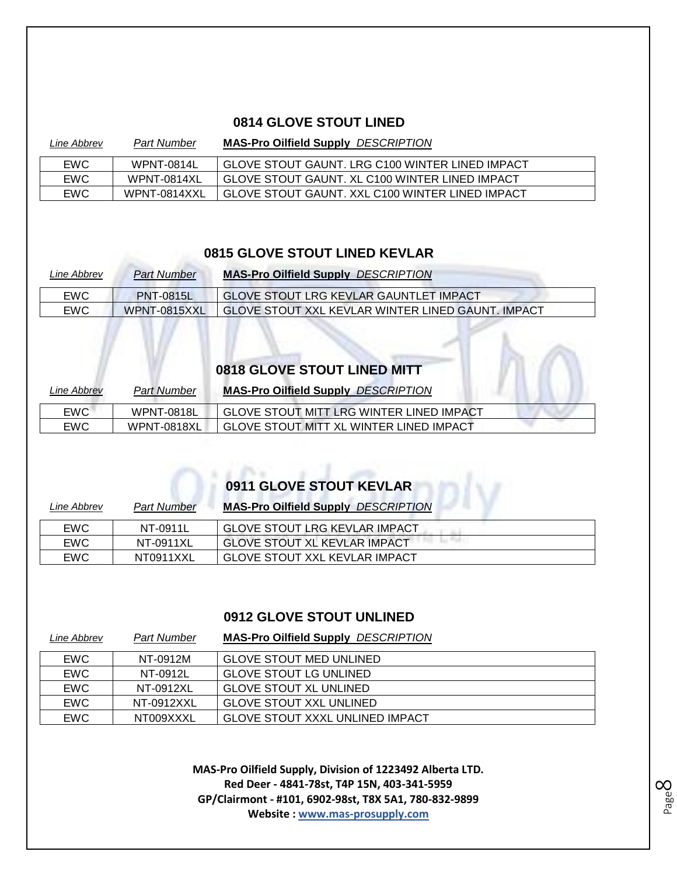#### **0814 GLOVE STOUT LINED**

| Line Abbrev | <b>Part Number</b> | <b>MAS-Pro Oilfield Supply DESCRIPTION</b>      |
|-------------|--------------------|-------------------------------------------------|
| <b>EWC</b>  | WPNT-0814L         | GLOVE STOUT GAUNT. LRG C100 WINTER LINED IMPACT |
| <b>EWC</b>  | WPNT-0814XL        | GLOVE STOUT GAUNT. XL C100 WINTER LINED IMPACT  |
| <b>EWC</b>  | WPNT-0814XXL       | GLOVE STOUT GAUNT. XXL C100 WINTER LINED IMPACT |

#### **0815 GLOVE STOUT LINED KEVLAR**

| Line Abbrev | <b>Part Number</b> | <b>MAS-Pro Oilfield Supply DESCRIPTION</b>        |
|-------------|--------------------|---------------------------------------------------|
| <b>EWC</b>  | <b>PNT-0815L</b>   | GLOVE STOUT LRG KEVLAR GAUNTLET IMPACT            |
| EWC         | WPNT-0815XXL       | GLOVE STOUT XXL KEVLAR WINTER LINED GAUNT. IMPACT |

# **0818 GLOVE STOUT LINED MITT**

| <i>Line Abbrev</i> | <b>Part Number</b> | <b>MAS-Pro Oilfield Supply DESCRIPTION</b>     |
|--------------------|--------------------|------------------------------------------------|
| EWC.               | WPNT-0818L         | GLOVE STOUT MITT LRG WINTER LINED IMPACT       |
| EWC.               | WPNT-0818XL        | <b>GLOVE STOUT MITT XL WINTER LINED IMPACT</b> |

### **0911 GLOVE STOUT KEVLAR**

| Line Abbrev | <b>Part Number</b> | <b>MAS-Pro Oilfield Supply DESCRIPTION</b> |  |
|-------------|--------------------|--------------------------------------------|--|
| EWC         | NT-0911L           | <b>GLOVE STOUT LRG KEVLAR IMPACT</b>       |  |
| <b>EWC</b>  | NT-0911XL          | <b>GLOVE STOUT XL KEVLAR IMPACT</b>        |  |
| <b>EWC</b>  | NT0911XXL          | GLOVE STOUT XXL KEVLAR IMPACT              |  |

#### **0912 GLOVE STOUT UNLINED**

| Line Abbrev | <b>Part Number</b> | <b>MAS-Pro Oilfield Supply DESCRIPTION</b> |
|-------------|--------------------|--------------------------------------------|
| <b>EWC</b>  | NT-0912M           | <b>GLOVE STOUT MED UNLINED</b>             |
| EWC         | NT-0912L           | <b>GLOVE STOUT LG UNLINED</b>              |
| <b>EWC</b>  | NT-0912XL          | <b>GLOVE STOUT XL UNLINED</b>              |
| <b>EWC</b>  | NT-0912XXL         | GLOVE STOUT XXL UNLINED                    |
| <b>EWC</b>  | NT009XXXL          | <b>GLOVE STOUT XXXL UNLINED IMPACT</b>     |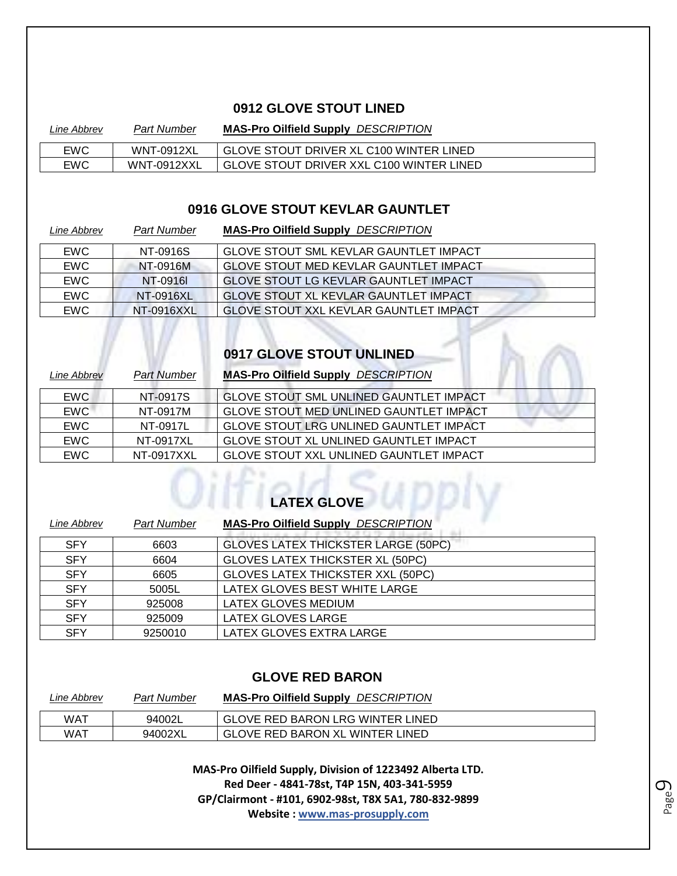#### **0912 GLOVE STOUT LINED**

| Line Abbrev | Part Number       | <b>MAS-Pro Oilfield Supply DESCRIPTION</b> |
|-------------|-------------------|--------------------------------------------|
| <b>EWC</b>  | <b>WNT-0912XL</b> | GLOVE STOUT DRIVER XL C100 WINTER LINED    |
| <b>EWC</b>  | WNT-0912XXL       | GLOVE STOUT DRIVER XXL C100 WINTER LINED   |

#### **0916 GLOVE STOUT KEVLAR GAUNTLET**

| Line Abbrev | <b>Part Number</b> | <b>MAS-Pro Oilfield Supply DESCRIPTION</b>    |
|-------------|--------------------|-----------------------------------------------|
| <b>EWC</b>  | NT-0916S           | <b>GLOVE STOUT SML KEVLAR GAUNTLET IMPACT</b> |
| <b>EWC</b>  | NT-0916M           | <b>GLOVE STOUT MED KEVLAR GAUNTLET IMPACT</b> |
| <b>EWC</b>  | NT-0916L           | <b>GLOVE STOUT LG KEVLAR GAUNTLET IMPACT</b>  |
| <b>EWC</b>  | NT-0916XL          | <b>GLOVE STOUT XL KEVLAR GAUNTLET IMPACT</b>  |
| <b>EWC</b>  | NT-0916XXL         | <b>GLOVE STOUT XXL KEVLAR GAUNTLET IMPACT</b> |

## **OPIT GLOVE STOUT UNLINED**

| Line Abbrev | Part Number | <b>MAS-Pro Oilfield Supply DESCRIPTION</b>     |
|-------------|-------------|------------------------------------------------|
| <b>EWC</b>  | NT-0917S    | <b>GLOVE STOUT SML UNLINED GAUNTLET IMPACT</b> |
| <b>EWC</b>  | NT-0917M    | <b>GLOVE STOUT MED UNLINED GAUNTLET IMPACT</b> |
| <b>EWC</b>  | NT-0917L    | <b>GLOVE STOUT LRG UNLINED GAUNTLET IMPACT</b> |
| <b>EWC</b>  | NT-0917XL   | <b>GLOVE STOUT XL UNLINED GAUNTLET IMPACT</b>  |
| <b>EWC</b>  | NT-0917XXL  | GLOVE STOUT XXL UNLINED GAUNTLET IMPACT        |

# **CATEX GLOVE**

| Line Abbrev | <b>Part Number</b> | <b>MAS-Pro Oilfield Supply DESCRIPTION</b> |
|-------------|--------------------|--------------------------------------------|
| <b>SFY</b>  | 6603               | <b>GLOVES LATEX THICKSTER LARGE (50PC)</b> |
| <b>SFY</b>  | 6604               | <b>GLOVES LATEX THICKSTER XL (50PC)</b>    |
| <b>SFY</b>  | 6605               | <b>GLOVES LATEX THICKSTER XXL (50PC)</b>   |
| <b>SFY</b>  | 5005L              | LATEX GLOVES BEST WHITE LARGE              |
| <b>SFY</b>  | 925008             | LATEX GLOVES MEDIUM                        |
| <b>SFY</b>  | 925009             | LATEX GLOVES LARGE                         |
| <b>SFY</b>  | 9250010            | LATEX GLOVES EXTRA LARGE                   |

#### **GLOVE RED BARON**

| Line Abbrev | <b>Part Number</b> | <b>MAS-Pro Oilfield Supply DESCRIPTION</b> |
|-------------|--------------------|--------------------------------------------|
| WAT         | 94002L             | GLOVE RED BARON LRG WINTER LINED           |
| WAT         | 94002XL            | <b>GLOVE RED BARON XL WINTER LINED</b>     |

**MAS-Pro Oilfield Supply, Division of 1223492 Alberta LTD. Red Deer - 4841-78st, T4P 15N, 403-341-5959 GP/Clairmont - #101, 6902-98st, T8X 5A1, 780-832-9899 Website : www.mas-prosupply.com**

Page  $\mathcal O$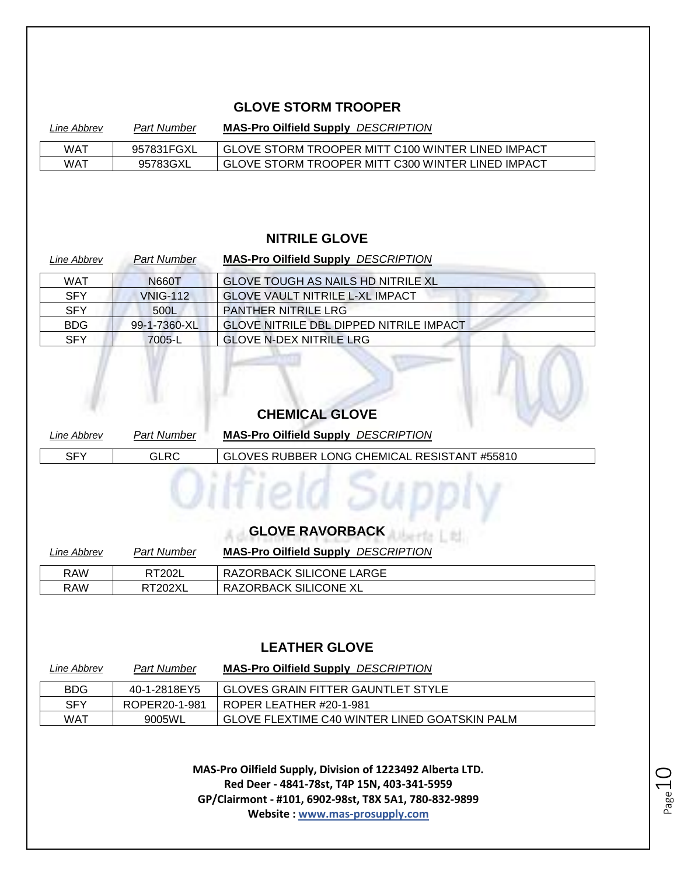#### **GLOVE STORM TROOPER**

| Line Abbrev | <b>Part Number</b> | <b>MAS-Pro Oilfield Supply DESCRIPTION</b>        |
|-------------|--------------------|---------------------------------------------------|
| WAT         | 957831FGXL         | GLOVE STORM TROOPER MITT C100 WINTER LINED IMPACT |
| WAT         | 95783GXL           | GLOVE STORM TROOPER MITT C300 WINTER LINED IMPACT |

#### **NITRILE GLOVE**

| Line Abbrev | <b>Part Number</b> | <b>MAS-Pro Oilfield Supply DESCRIPTION</b>     |
|-------------|--------------------|------------------------------------------------|
| <b>WAT</b>  | N660T              | <b>GLOVE TOUGH AS NAILS HD NITRILE XL</b>      |
| <b>SFY</b>  | <b>VNIG-112</b>    | <b>GLOVE VAULT NITRILE L-XL IMPACT</b>         |
| <b>SFY</b>  | 500L               | PANTHER NITRILE LRG                            |
| <b>BDG</b>  | 99-1-7360-XL       | <b>GLOVE NITRILE DBL DIPPED NITRILE IMPACT</b> |
| <b>SFY</b>  | 7005-L             | <b>GLOVE N-DEX NITRILE LRG</b>                 |

#### **CHEMICAL GLOVE**

| Line Abbrev | <b>Part Number</b> | <b>MAS-Pro Oilfield Supply DESCRIPTION</b>   |
|-------------|--------------------|----------------------------------------------|
| <b>SFY</b>  | <b>GLRC</b>        | GLOVES RUBBER LONG CHEMICAL RESISTANT #55810 |
|             |                    |                                              |
|             |                    |                                              |
|             |                    |                                              |
|             |                    |                                              |

### **GLOVE RAVORBACK**

| Line Abbrev | Part Number    | <b>MAS-Pro Oilfield Supply DESCRIPTION</b> |
|-------------|----------------|--------------------------------------------|
| RAW         | <b>RT202L</b>  | RAZORBACK SILICONE LARGE                   |
| RAW         | <b>RT202XL</b> | RAZORBACK SILICONE XL                      |

#### **LEATHER GLOVE**

| Line Abbrev | <b>Part Number</b> | <b>MAS-Pro Oilfield Supply DESCRIPTION</b>    |
|-------------|--------------------|-----------------------------------------------|
| <b>BDG</b>  | 40-1-2818EY5       | GLOVES GRAIN FITTER GAUNTLET STYLE            |
| <b>SFY</b>  | ROPER20-1-981      | ROPER LEATHER #20-1-981                       |
| WAT         | 9005WL             | GLOVE FLEXTIME C40 WINTER LINED GOATSKIN PALM |